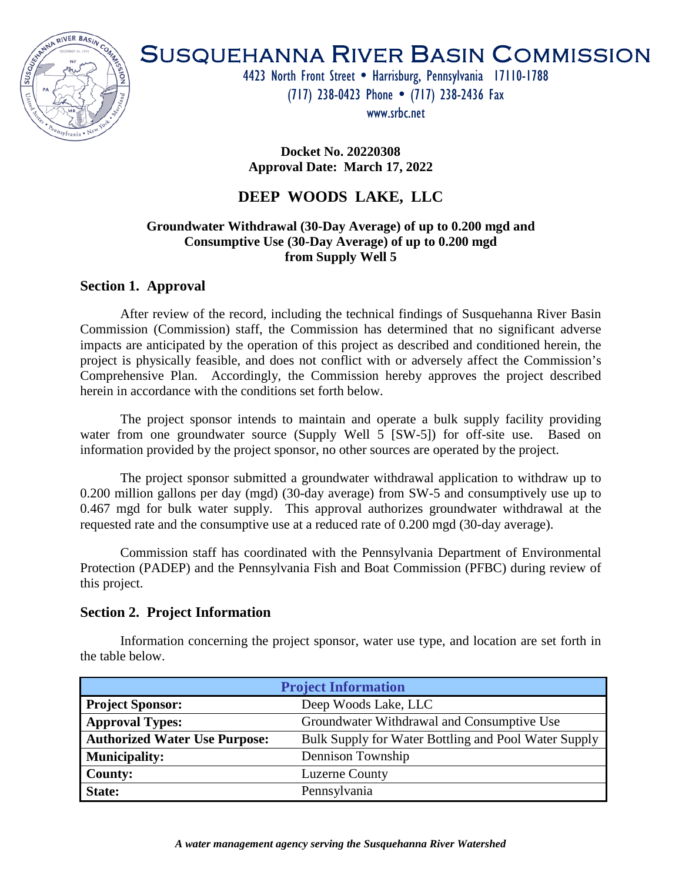

# SUSQUEHANNA RIVER BASIN COMMISSION

4423 North Front Street . Harrisburg, Pennsylvania 17110-1788

(717) 238-0423 Phone (717) 238-2436 Fax

www.srbc.net

**Docket No. 20220308 Approval Date: March 17, 2022**

# **DEEP WOODS LAKE, LLC**

# **Groundwater Withdrawal (30-Day Average) of up to 0.200 mgd and Consumptive Use (30-Day Average) of up to 0.200 mgd from Supply Well 5**

# **Section 1. Approval**

After review of the record, including the technical findings of Susquehanna River Basin Commission (Commission) staff, the Commission has determined that no significant adverse impacts are anticipated by the operation of this project as described and conditioned herein, the project is physically feasible, and does not conflict with or adversely affect the Commission's Comprehensive Plan. Accordingly, the Commission hereby approves the project described herein in accordance with the conditions set forth below.

The project sponsor intends to maintain and operate a bulk supply facility providing water from one groundwater source (Supply Well 5 [SW-5]) for off-site use. Based on information provided by the project sponsor, no other sources are operated by the project.

The project sponsor submitted a groundwater withdrawal application to withdraw up to 0.200 million gallons per day (mgd) (30-day average) from SW-5 and consumptively use up to 0.467 mgd for bulk water supply. This approval authorizes groundwater withdrawal at the requested rate and the consumptive use at a reduced rate of 0.200 mgd (30-day average).

Commission staff has coordinated with the Pennsylvania Department of Environmental Protection (PADEP) and the Pennsylvania Fish and Boat Commission (PFBC) during review of this project.

# **Section 2. Project Information**

Information concerning the project sponsor, water use type, and location are set forth in the table below.

| <b>Project Information</b>           |                                                      |  |
|--------------------------------------|------------------------------------------------------|--|
| <b>Project Sponsor:</b>              | Deep Woods Lake, LLC                                 |  |
| <b>Approval Types:</b>               | Groundwater Withdrawal and Consumptive Use           |  |
| <b>Authorized Water Use Purpose:</b> | Bulk Supply for Water Bottling and Pool Water Supply |  |
| <b>Municipality:</b>                 | Dennison Township                                    |  |
| <b>County:</b>                       | <b>Luzerne County</b>                                |  |
| State:                               | Pennsylvania                                         |  |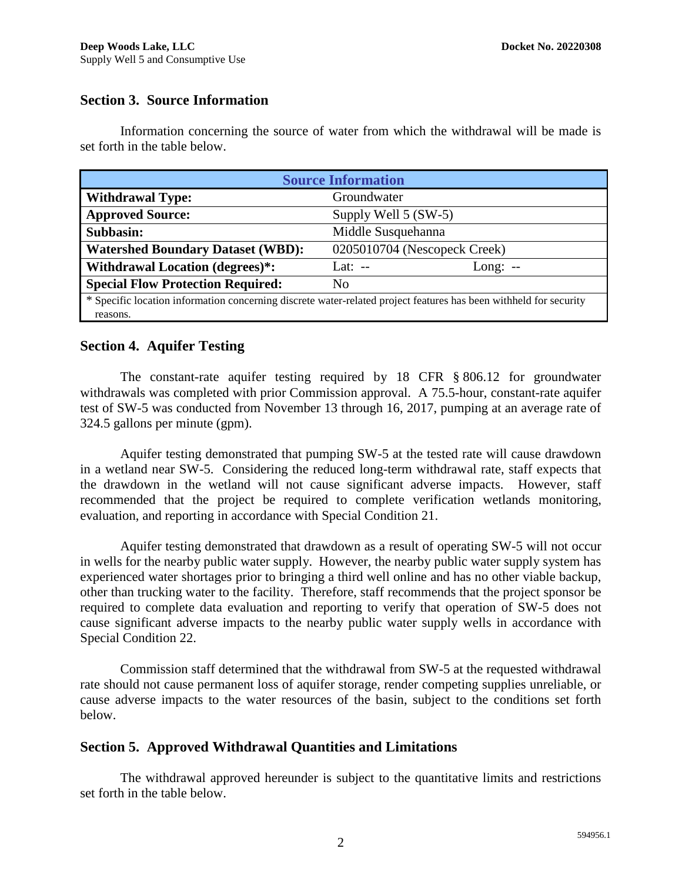# **Section 3. Source Information**

Information concerning the source of water from which the withdrawal will be made is set forth in the table below.

| <b>Source Information</b>                                                                                         |                              |           |  |  |
|-------------------------------------------------------------------------------------------------------------------|------------------------------|-----------|--|--|
| <b>Withdrawal Type:</b>                                                                                           | Groundwater                  |           |  |  |
| <b>Approved Source:</b>                                                                                           | Supply Well 5 (SW-5)         |           |  |  |
| Subbasin:                                                                                                         | Middle Susquehanna           |           |  |  |
| <b>Watershed Boundary Dataset (WBD):</b>                                                                          | 0205010704 (Nescopeck Creek) |           |  |  |
| <b>Withdrawal Location (degrees)*:</b>                                                                            | Lat: $-$                     | Long: $-$ |  |  |
| <b>Special Flow Protection Required:</b>                                                                          | N <sub>0</sub>               |           |  |  |
| * Specific location information concerning discrete water-related project features has been withheld for security |                              |           |  |  |
| reasons.                                                                                                          |                              |           |  |  |

# **Section 4. Aquifer Testing**

The constant-rate aquifer testing required by 18 CFR § 806.12 for groundwater withdrawals was completed with prior Commission approval. A 75.5-hour, constant-rate aquifer test of SW-5 was conducted from November 13 through 16, 2017, pumping at an average rate of 324.5 gallons per minute (gpm).

Aquifer testing demonstrated that pumping SW-5 at the tested rate will cause drawdown in a wetland near SW-5. Considering the reduced long-term withdrawal rate, staff expects that the drawdown in the wetland will not cause significant adverse impacts. However, staff recommended that the project be required to complete verification wetlands monitoring, evaluation, and reporting in accordance with Special Condition 21.

Aquifer testing demonstrated that drawdown as a result of operating SW-5 will not occur in wells for the nearby public water supply. However, the nearby public water supply system has experienced water shortages prior to bringing a third well online and has no other viable backup, other than trucking water to the facility. Therefore, staff recommends that the project sponsor be required to complete data evaluation and reporting to verify that operation of SW-5 does not cause significant adverse impacts to the nearby public water supply wells in accordance with Special Condition 22.

Commission staff determined that the withdrawal from SW-5 at the requested withdrawal rate should not cause permanent loss of aquifer storage, render competing supplies unreliable, or cause adverse impacts to the water resources of the basin, subject to the conditions set forth below.

# **Section 5. Approved Withdrawal Quantities and Limitations**

The withdrawal approved hereunder is subject to the quantitative limits and restrictions set forth in the table below.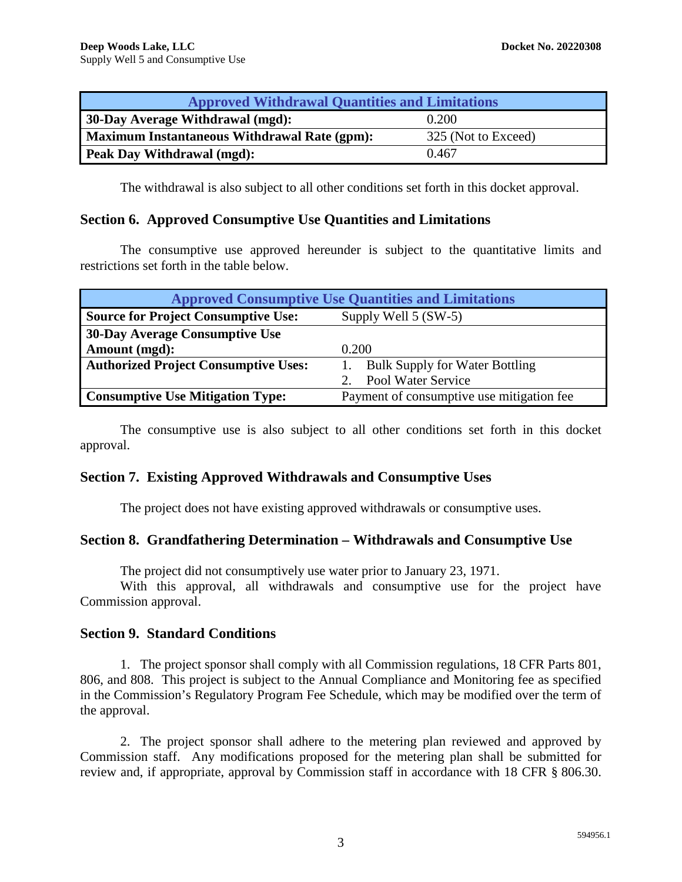| <b>Approved Withdrawal Quantities and Limitations</b> |                     |  |  |
|-------------------------------------------------------|---------------------|--|--|
| <b>30-Day Average Withdrawal (mgd):</b>               | 0.200               |  |  |
| <b>Maximum Instantaneous Withdrawal Rate (gpm):</b>   | 325 (Not to Exceed) |  |  |
| <b>Peak Day Withdrawal (mgd):</b>                     | 0.467               |  |  |

The withdrawal is also subject to all other conditions set forth in this docket approval.

## **Section 6. Approved Consumptive Use Quantities and Limitations**

The consumptive use approved hereunder is subject to the quantitative limits and restrictions set forth in the table below.

| <b>Approved Consumptive Use Quantities and Limitations</b> |                                           |  |  |  |
|------------------------------------------------------------|-------------------------------------------|--|--|--|
| <b>Source for Project Consumptive Use:</b>                 | Supply Well 5 (SW-5)                      |  |  |  |
| 30-Day Average Consumptive Use                             |                                           |  |  |  |
| Amount (mgd):                                              | 0.200                                     |  |  |  |
| <b>Authorized Project Consumptive Uses:</b>                | <b>Bulk Supply for Water Bottling</b>     |  |  |  |
|                                                            | Pool Water Service                        |  |  |  |
| <b>Consumptive Use Mitigation Type:</b>                    | Payment of consumptive use mitigation fee |  |  |  |

The consumptive use is also subject to all other conditions set forth in this docket approval.

## **Section 7. Existing Approved Withdrawals and Consumptive Uses**

The project does not have existing approved withdrawals or consumptive uses.

## **Section 8. Grandfathering Determination – Withdrawals and Consumptive Use**

The project did not consumptively use water prior to January 23, 1971.

With this approval, all withdrawals and consumptive use for the project have Commission approval.

## **Section 9. Standard Conditions**

1. The project sponsor shall comply with all Commission regulations, 18 CFR Parts 801, 806, and 808. This project is subject to the Annual Compliance and Monitoring fee as specified in the Commission's Regulatory Program Fee Schedule, which may be modified over the term of the approval.

2. The project sponsor shall adhere to the metering plan reviewed and approved by Commission staff. Any modifications proposed for the metering plan shall be submitted for review and, if appropriate, approval by Commission staff in accordance with 18 CFR § 806.30.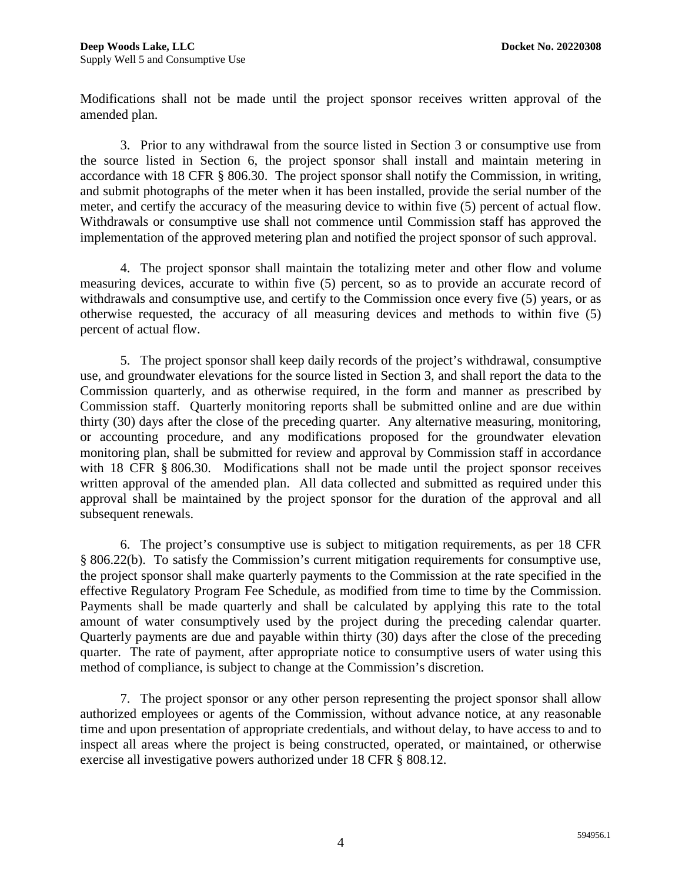Modifications shall not be made until the project sponsor receives written approval of the amended plan.

3. Prior to any withdrawal from the source listed in Section 3 or consumptive use from the source listed in Section 6, the project sponsor shall install and maintain metering in accordance with 18 CFR § 806.30. The project sponsor shall notify the Commission, in writing, and submit photographs of the meter when it has been installed, provide the serial number of the meter, and certify the accuracy of the measuring device to within five (5) percent of actual flow. Withdrawals or consumptive use shall not commence until Commission staff has approved the implementation of the approved metering plan and notified the project sponsor of such approval.

4. The project sponsor shall maintain the totalizing meter and other flow and volume measuring devices, accurate to within five (5) percent, so as to provide an accurate record of withdrawals and consumptive use, and certify to the Commission once every five (5) years, or as otherwise requested, the accuracy of all measuring devices and methods to within five (5) percent of actual flow.

5. The project sponsor shall keep daily records of the project's withdrawal, consumptive use, and groundwater elevations for the source listed in Section 3, and shall report the data to the Commission quarterly, and as otherwise required, in the form and manner as prescribed by Commission staff. Quarterly monitoring reports shall be submitted online and are due within thirty (30) days after the close of the preceding quarter. Any alternative measuring, monitoring, or accounting procedure, and any modifications proposed for the groundwater elevation monitoring plan, shall be submitted for review and approval by Commission staff in accordance with 18 CFR § 806.30. Modifications shall not be made until the project sponsor receives written approval of the amended plan. All data collected and submitted as required under this approval shall be maintained by the project sponsor for the duration of the approval and all subsequent renewals.

6. The project's consumptive use is subject to mitigation requirements, as per 18 CFR § 806.22(b). To satisfy the Commission's current mitigation requirements for consumptive use, the project sponsor shall make quarterly payments to the Commission at the rate specified in the effective Regulatory Program Fee Schedule, as modified from time to time by the Commission. Payments shall be made quarterly and shall be calculated by applying this rate to the total amount of water consumptively used by the project during the preceding calendar quarter. Quarterly payments are due and payable within thirty (30) days after the close of the preceding quarter. The rate of payment, after appropriate notice to consumptive users of water using this method of compliance, is subject to change at the Commission's discretion.

7. The project sponsor or any other person representing the project sponsor shall allow authorized employees or agents of the Commission, without advance notice, at any reasonable time and upon presentation of appropriate credentials, and without delay, to have access to and to inspect all areas where the project is being constructed, operated, or maintained, or otherwise exercise all investigative powers authorized under 18 CFR § 808.12.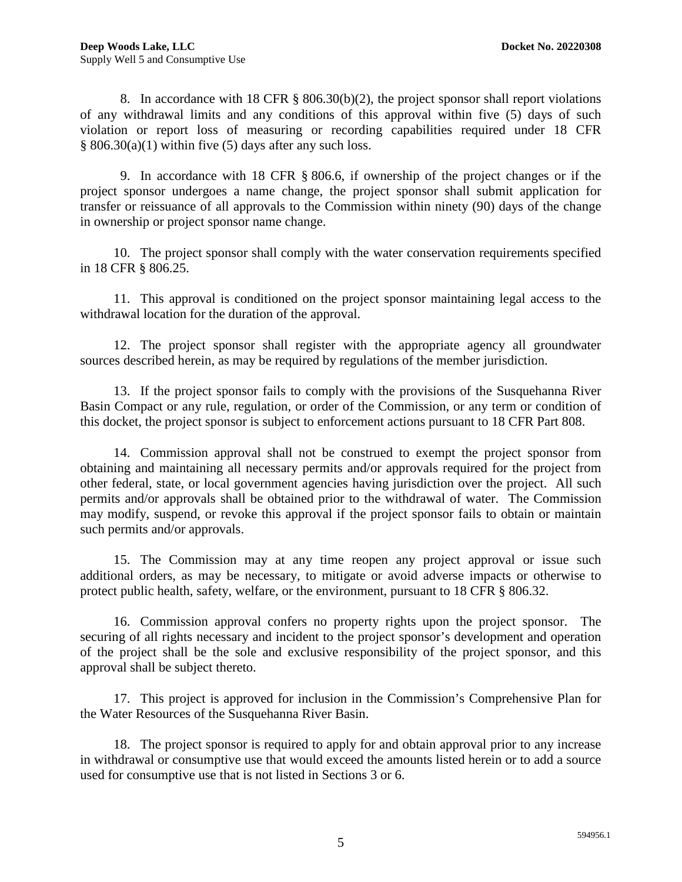8. In accordance with 18 CFR § 806.30(b)(2), the project sponsor shall report violations of any withdrawal limits and any conditions of this approval within five (5) days of such violation or report loss of measuring or recording capabilities required under 18 CFR  $§ 806.30(a)(1)$  within five (5) days after any such loss.

9. In accordance with 18 CFR § 806.6, if ownership of the project changes or if the project sponsor undergoes a name change, the project sponsor shall submit application for transfer or reissuance of all approvals to the Commission within ninety (90) days of the change in ownership or project sponsor name change.

10. The project sponsor shall comply with the water conservation requirements specified in 18 CFR § 806.25.

11. This approval is conditioned on the project sponsor maintaining legal access to the withdrawal location for the duration of the approval.

12. The project sponsor shall register with the appropriate agency all groundwater sources described herein, as may be required by regulations of the member jurisdiction.

13. If the project sponsor fails to comply with the provisions of the Susquehanna River Basin Compact or any rule, regulation, or order of the Commission, or any term or condition of this docket, the project sponsor is subject to enforcement actions pursuant to 18 CFR Part 808.

14. Commission approval shall not be construed to exempt the project sponsor from obtaining and maintaining all necessary permits and/or approvals required for the project from other federal, state, or local government agencies having jurisdiction over the project. All such permits and/or approvals shall be obtained prior to the withdrawal of water. The Commission may modify, suspend, or revoke this approval if the project sponsor fails to obtain or maintain such permits and/or approvals.

15. The Commission may at any time reopen any project approval or issue such additional orders, as may be necessary, to mitigate or avoid adverse impacts or otherwise to protect public health, safety, welfare, or the environment, pursuant to 18 CFR § 806.32.

16. Commission approval confers no property rights upon the project sponsor. The securing of all rights necessary and incident to the project sponsor's development and operation of the project shall be the sole and exclusive responsibility of the project sponsor, and this approval shall be subject thereto.

17. This project is approved for inclusion in the Commission's Comprehensive Plan for the Water Resources of the Susquehanna River Basin.

18. The project sponsor is required to apply for and obtain approval prior to any increase in withdrawal or consumptive use that would exceed the amounts listed herein or to add a source used for consumptive use that is not listed in Sections 3 or 6.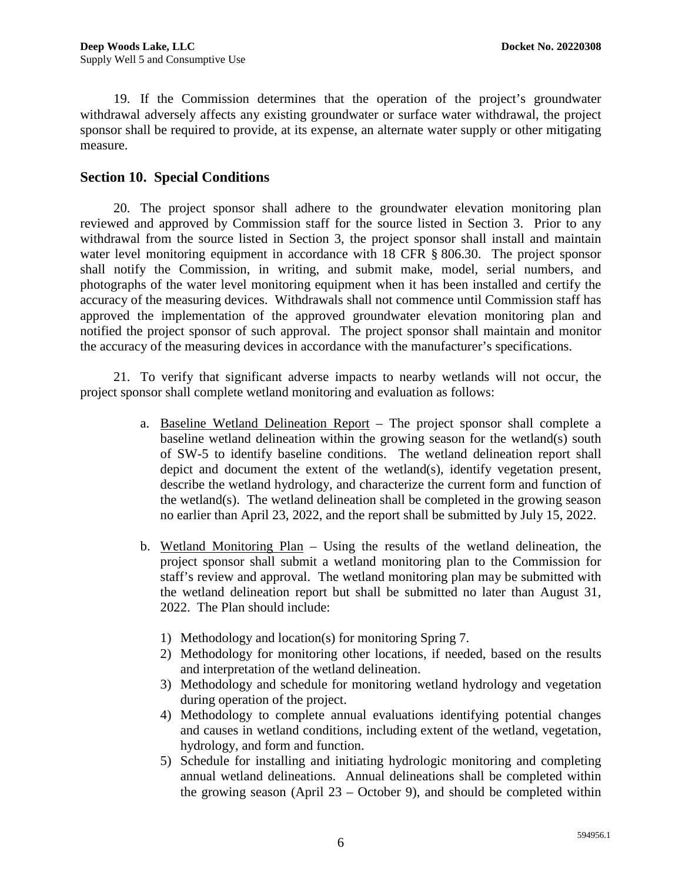19. If the Commission determines that the operation of the project's groundwater withdrawal adversely affects any existing groundwater or surface water withdrawal, the project sponsor shall be required to provide, at its expense, an alternate water supply or other mitigating measure.

# **Section 10. Special Conditions**

20. The project sponsor shall adhere to the groundwater elevation monitoring plan reviewed and approved by Commission staff for the source listed in Section 3. Prior to any withdrawal from the source listed in Section 3, the project sponsor shall install and maintain water level monitoring equipment in accordance with 18 CFR § 806.30. The project sponsor shall notify the Commission, in writing, and submit make, model, serial numbers, and photographs of the water level monitoring equipment when it has been installed and certify the accuracy of the measuring devices. Withdrawals shall not commence until Commission staff has approved the implementation of the approved groundwater elevation monitoring plan and notified the project sponsor of such approval. The project sponsor shall maintain and monitor the accuracy of the measuring devices in accordance with the manufacturer's specifications.

21. To verify that significant adverse impacts to nearby wetlands will not occur, the project sponsor shall complete wetland monitoring and evaluation as follows:

- a. Baseline Wetland Delineation Report The project sponsor shall complete a baseline wetland delineation within the growing season for the wetland(s) south of SW-5 to identify baseline conditions. The wetland delineation report shall depict and document the extent of the wetland(s), identify vegetation present, describe the wetland hydrology, and characterize the current form and function of the wetland(s). The wetland delineation shall be completed in the growing season no earlier than April 23, 2022, and the report shall be submitted by July 15, 2022.
- b. Wetland Monitoring Plan Using the results of the wetland delineation, the project sponsor shall submit a wetland monitoring plan to the Commission for staff's review and approval. The wetland monitoring plan may be submitted with the wetland delineation report but shall be submitted no later than August 31, 2022. The Plan should include:
	- 1) Methodology and location(s) for monitoring Spring 7.
	- 2) Methodology for monitoring other locations, if needed, based on the results and interpretation of the wetland delineation.
	- 3) Methodology and schedule for monitoring wetland hydrology and vegetation during operation of the project.
	- 4) Methodology to complete annual evaluations identifying potential changes and causes in wetland conditions, including extent of the wetland, vegetation, hydrology, and form and function.
	- 5) Schedule for installing and initiating hydrologic monitoring and completing annual wetland delineations. Annual delineations shall be completed within the growing season (April 23 – October 9), and should be completed within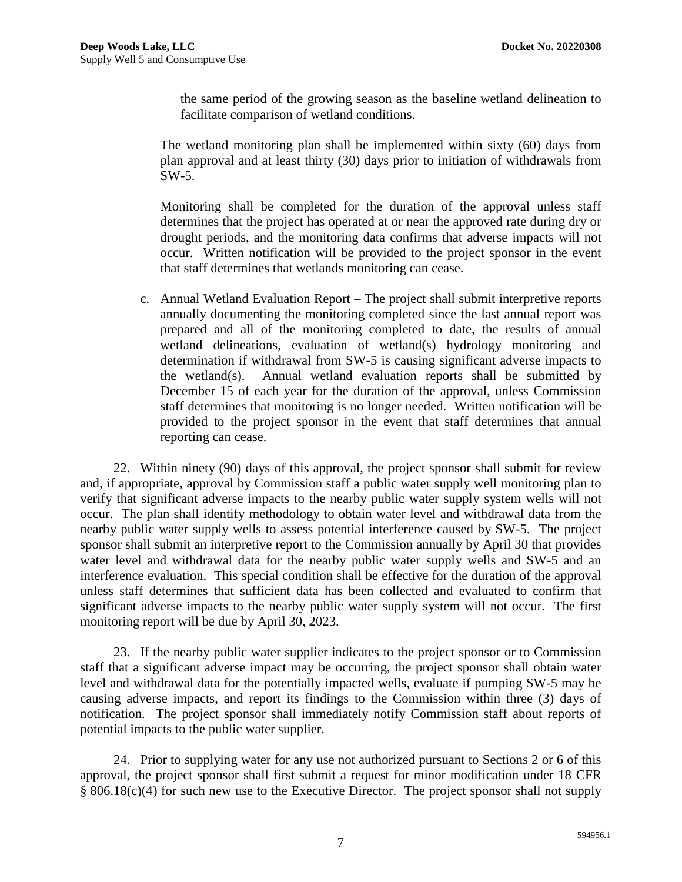the same period of the growing season as the baseline wetland delineation to facilitate comparison of wetland conditions.

The wetland monitoring plan shall be implemented within sixty (60) days from plan approval and at least thirty (30) days prior to initiation of withdrawals from SW-5.

Monitoring shall be completed for the duration of the approval unless staff determines that the project has operated at or near the approved rate during dry or drought periods, and the monitoring data confirms that adverse impacts will not occur. Written notification will be provided to the project sponsor in the event that staff determines that wetlands monitoring can cease.

c. Annual Wetland Evaluation Report – The project shall submit interpretive reports annually documenting the monitoring completed since the last annual report was prepared and all of the monitoring completed to date, the results of annual wetland delineations, evaluation of wetland(s) hydrology monitoring and determination if withdrawal from SW-5 is causing significant adverse impacts to the wetland(s). Annual wetland evaluation reports shall be submitted by December 15 of each year for the duration of the approval, unless Commission staff determines that monitoring is no longer needed. Written notification will be provided to the project sponsor in the event that staff determines that annual reporting can cease.

22. Within ninety (90) days of this approval, the project sponsor shall submit for review and, if appropriate, approval by Commission staff a public water supply well monitoring plan to verify that significant adverse impacts to the nearby public water supply system wells will not occur. The plan shall identify methodology to obtain water level and withdrawal data from the nearby public water supply wells to assess potential interference caused by SW-5. The project sponsor shall submit an interpretive report to the Commission annually by April 30 that provides water level and withdrawal data for the nearby public water supply wells and SW-5 and an interference evaluation. This special condition shall be effective for the duration of the approval unless staff determines that sufficient data has been collected and evaluated to confirm that significant adverse impacts to the nearby public water supply system will not occur. The first monitoring report will be due by April 30, 2023.

23. If the nearby public water supplier indicates to the project sponsor or to Commission staff that a significant adverse impact may be occurring, the project sponsor shall obtain water level and withdrawal data for the potentially impacted wells, evaluate if pumping SW-5 may be causing adverse impacts, and report its findings to the Commission within three (3) days of notification. The project sponsor shall immediately notify Commission staff about reports of potential impacts to the public water supplier.

24. Prior to supplying water for any use not authorized pursuant to Sections 2 or 6 of this approval, the project sponsor shall first submit a request for minor modification under 18 CFR § 806.18(c)(4) for such new use to the Executive Director. The project sponsor shall not supply